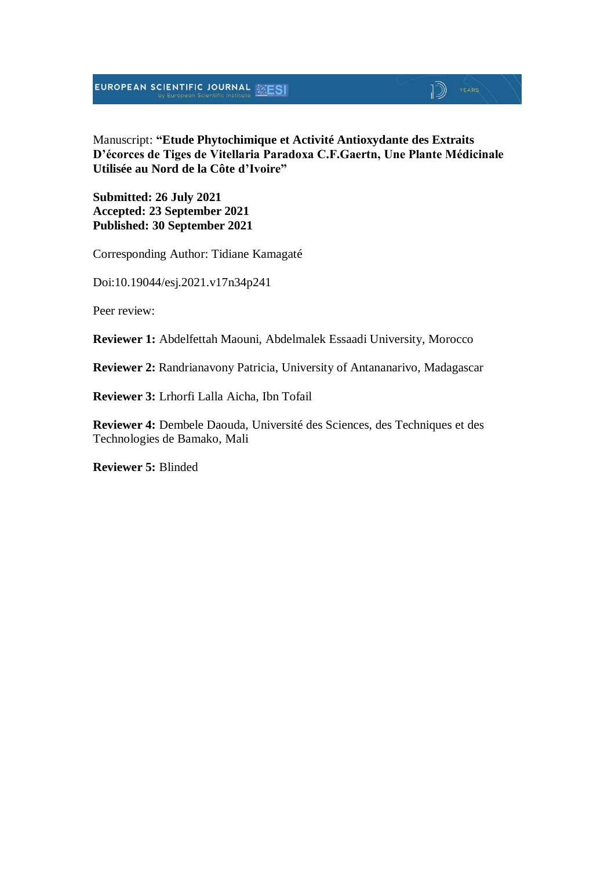## $\mathbb{D}$   $\mathbb{P}$   $\mathbb{P}$   $\mathbb{P}$   $\mathbb{P}$   $\mathbb{P}$   $\mathbb{P}$   $\mathbb{P}$   $\mathbb{P}$   $\mathbb{P}$   $\mathbb{P}$   $\mathbb{P}$   $\mathbb{P}$   $\mathbb{P}$   $\mathbb{P}$   $\mathbb{P}$   $\mathbb{P}$   $\mathbb{P}$   $\mathbb{P}$   $\mathbb{P}$   $\mathbb{P}$   $\mathbb{P}$   $\mathbb{P}$   $\mathbb{P}$   $\mathbb{$

Manuscript: **"Etude Phytochimique et Activité Antioxydante des Extraits D'écorces de Tiges de Vitellaria Paradoxa C.F.Gaertn, Une Plante Médicinale Utilisée au Nord de la Côte d'Ivoire"**

**Submitted: 26 July 2021 Accepted: 23 September 2021 Published: 30 September 2021**

Corresponding Author: Tidiane Kamagaté

Doi:10.19044/esj.2021.v17n34p241

Peer review:

**Reviewer 1:** Abdelfettah Maouni, Abdelmalek Essaadi University, Morocco

**Reviewer 2:** Randrianavony Patricia, University of Antananarivo, Madagascar

**Reviewer 3:** Lrhorfi Lalla Aicha, Ibn Tofail

**Reviewer 4:** Dembele Daouda, Université des Sciences, des Techniques et des Technologies de Bamako, Mali

**Reviewer 5:** Blinded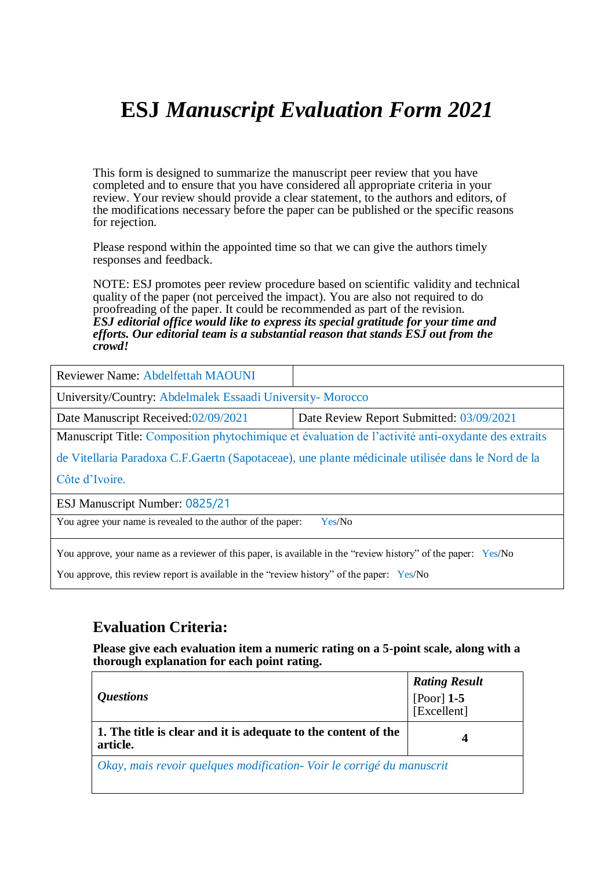This form is designed to summarize the manuscript peer review that you have completed and to ensure that you have considered all appropriate criteria in your review. Your review should provide a clear statement, to the authors and editors, of the modifications necessary before the paper can be published or the specific reasons for rejection.

Please respond within the appointed time so that we can give the authors timely responses and feedback.

NOTE: ESJ promotes peer review procedure based on scientific validity and technical quality of the paper (not perceived the impact). You are also not required to do proofreading of the paper. It could be recommended as part of the revision. *ESJ editorial office would like to express its special gratitude for your time and efforts. Our editorial team is a substantial reason that stands ESJ out from the crowd!* 

| Reviewer Name: Abdelfettah MAOUNI                                                                             |                                          |  |
|---------------------------------------------------------------------------------------------------------------|------------------------------------------|--|
| University/Country: Abdelmalek Essaadi University-Morocco                                                     |                                          |  |
| Date Manuscript Received:02/09/2021                                                                           | Date Review Report Submitted: 03/09/2021 |  |
| Manuscript Title: Composition phytochimique et évaluation de l'activité anti-oxydante des extraits            |                                          |  |
| de Vitellaria Paradoxa C.F. Gaertn (Sapotaceae), une plante médicinale utilisée dans le Nord de la            |                                          |  |
| Côte d'Ivoire.                                                                                                |                                          |  |
| ESJ Manuscript Number: 0825/21                                                                                |                                          |  |
| You agree your name is revealed to the author of the paper:<br>Yes/No                                         |                                          |  |
| You approve, your name as a reviewer of this paper, is available in the "review history" of the paper: Yes/No |                                          |  |

You approve, this review report is available in the "review history" of the paper: Yes/No

### **Evaluation Criteria:**

| <i><b>Questions</b></i>                                                    | <b>Rating Result</b><br>[Poor] $1-5$<br>[Excellent] |
|----------------------------------------------------------------------------|-----------------------------------------------------|
| 1. The title is clear and it is adequate to the content of the<br>article. |                                                     |
| Okay, mais revoir quelques modification - Voir le corrigé du manuscrit     |                                                     |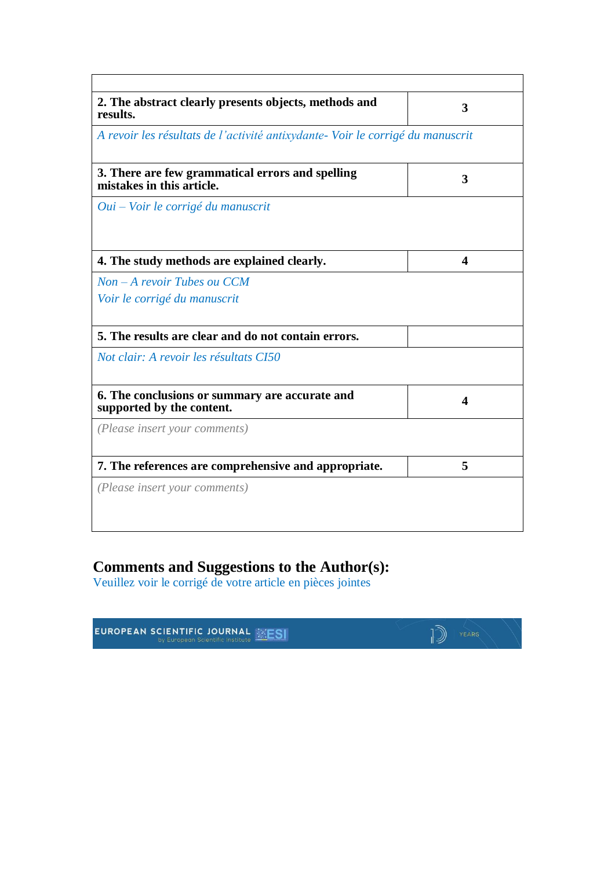| 2. The abstract clearly presents objects, methods and<br>results.             | 3 |
|-------------------------------------------------------------------------------|---|
| A revoir les résultats de l'activité antixydante-Voir le corrigé du manuscrit |   |
| 3. There are few grammatical errors and spelling<br>mistakes in this article. | 3 |
| Oui – Voir le corrigé du manuscrit                                            |   |
| 4. The study methods are explained clearly.                                   | 4 |
| $Non-A$ revoir Tubes ou $CCM$                                                 |   |
| Voir le corrigé du manuscrit                                                  |   |
| 5. The results are clear and do not contain errors.                           |   |
| Not clair: A revoir les résultats CI50                                        |   |
| 6. The conclusions or summary are accurate and<br>supported by the content.   | 4 |
| (Please insert your comments)                                                 |   |
| 7. The references are comprehensive and appropriate.                          | 5 |
| (Please insert your comments)                                                 |   |

### **Comments and Suggestions to the Author(s):**

Veuillez voir le corrigé de votre article en pièces jointes

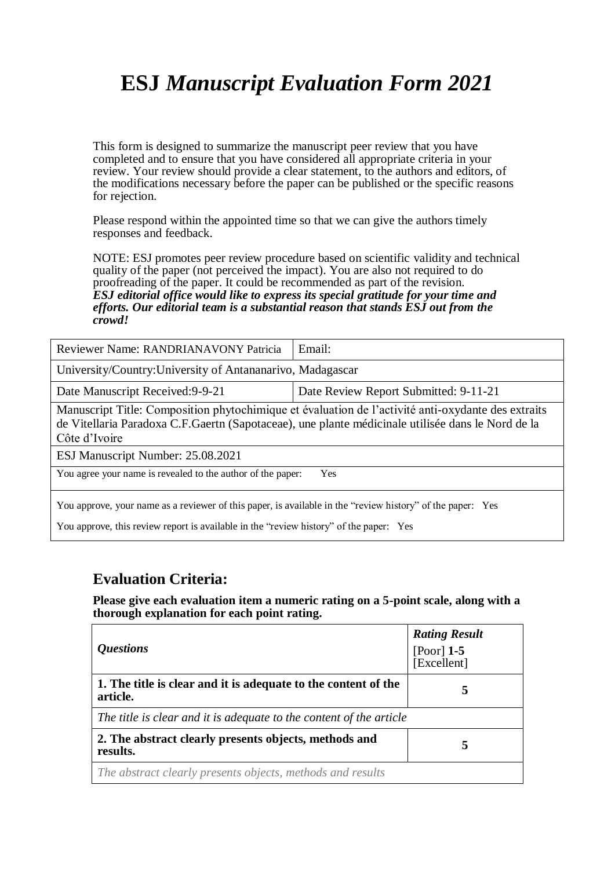This form is designed to summarize the manuscript peer review that you have completed and to ensure that you have considered all appropriate criteria in your review. Your review should provide a clear statement, to the authors and editors, of the modifications necessary before the paper can be published or the specific reasons for rejection.

Please respond within the appointed time so that we can give the authors timely responses and feedback.

NOTE: ESJ promotes peer review procedure based on scientific validity and technical quality of the paper (not perceived the impact). You are also not required to do proofreading of the paper. It could be recommended as part of the revision. *ESJ editorial office would like to express its special gratitude for your time and efforts. Our editorial team is a substantial reason that stands ESJ out from the crowd!* 

| Reviewer Name: RANDRIANAVONY Patricia                                                                                                                                                                                                                          | Email:                                |  |
|----------------------------------------------------------------------------------------------------------------------------------------------------------------------------------------------------------------------------------------------------------------|---------------------------------------|--|
| University/Country: University of Antananarivo, Madagascar                                                                                                                                                                                                     |                                       |  |
| Date Manuscript Received: 9-9-21                                                                                                                                                                                                                               | Date Review Report Submitted: 9-11-21 |  |
| Manuscript Title: Composition phytochimique et évaluation de l'activité anti-oxydante des extraits<br>de Vitellaria Paradoxa C.F. Gaertn (Sapotaceae), une plante médicinale utilisée dans le Nord de la<br>Côte d'Ivoire<br>ESJ Manuscript Number: 25.08.2021 |                                       |  |
| You agree your name is revealed to the author of the paper:<br><b>Yes</b>                                                                                                                                                                                      |                                       |  |
| You approve, your name as a reviewer of this paper, is available in the "review history" of the paper: Yes<br>You approve, this review report is available in the "review history" of the paper: Yes                                                           |                                       |  |

#### **Evaluation Criteria:**

| <i><b>Ouestions</b></i>                                                    | <b>Rating Result</b><br>[Poor] $1-5$<br>[Excellent] |
|----------------------------------------------------------------------------|-----------------------------------------------------|
| 1. The title is clear and it is adequate to the content of the<br>article. | 5                                                   |
| The title is clear and it is adequate to the content of the article        |                                                     |
| 2. The abstract clearly presents objects, methods and<br>results.          | 5                                                   |
| The abstract clearly presents objects, methods and results                 |                                                     |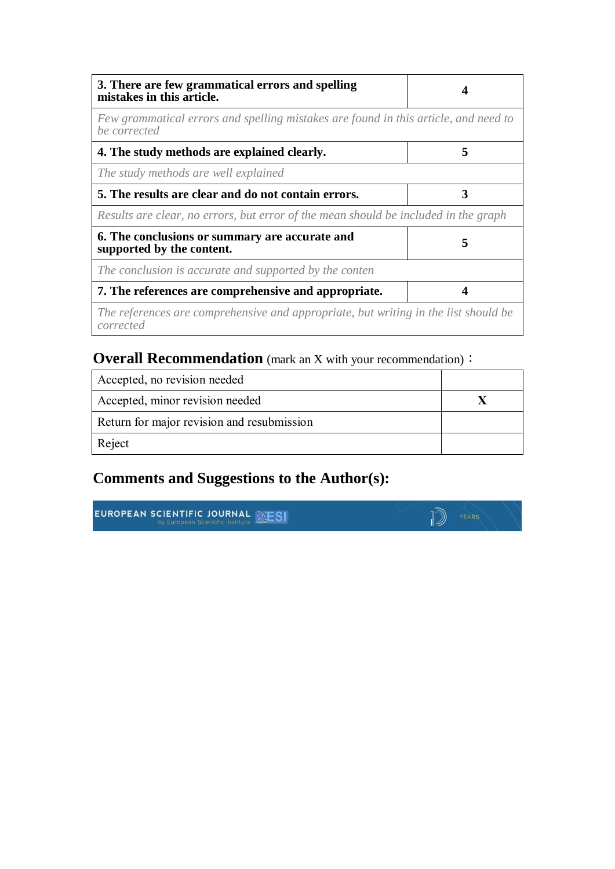| 3. There are few grammatical errors and spelling<br>mistakes in this article.                       |   |
|-----------------------------------------------------------------------------------------------------|---|
| Few grammatical errors and spelling mistakes are found in this article, and need to<br>be corrected |   |
| 4. The study methods are explained clearly.                                                         | 5 |
| The study methods are well explained                                                                |   |
| 5. The results are clear and do not contain errors.                                                 | 3 |
| Results are clear, no errors, but error of the mean should be included in the graph                 |   |
| 6. The conclusions or summary are accurate and<br>supported by the content.                         | 5 |
| The conclusion is accurate and supported by the conten                                              |   |
| 7. The references are comprehensive and appropriate.                                                |   |
| The references are comprehensive and appropriate, but writing in the list should be<br>corrected    |   |

### **Overall Recommendation** (mark an X with your recommendation):

| Accepted, no revision needed               |  |
|--------------------------------------------|--|
| Accepted, minor revision needed            |  |
| Return for major revision and resubmission |  |
| Reject                                     |  |

### **Comments and Suggestions to the Author(s):**

**EUROPEAN SCIENTIFIC JOURNAL EXESI** 

 $\mathbb{D}$   $\mathbb{P}$   $\mathbb{P}$   $\mathbb{P}$   $\mathbb{P}$   $\mathbb{P}$   $\mathbb{P}$   $\mathbb{P}$   $\mathbb{P}$   $\mathbb{P}$   $\mathbb{P}$   $\mathbb{P}$   $\mathbb{P}$   $\mathbb{P}$   $\mathbb{P}$   $\mathbb{P}$   $\mathbb{P}$   $\mathbb{P}$   $\mathbb{P}$   $\mathbb{P}$   $\mathbb{P}$   $\mathbb{P}$   $\mathbb{P}$   $\mathbb{P}$   $\mathbb{$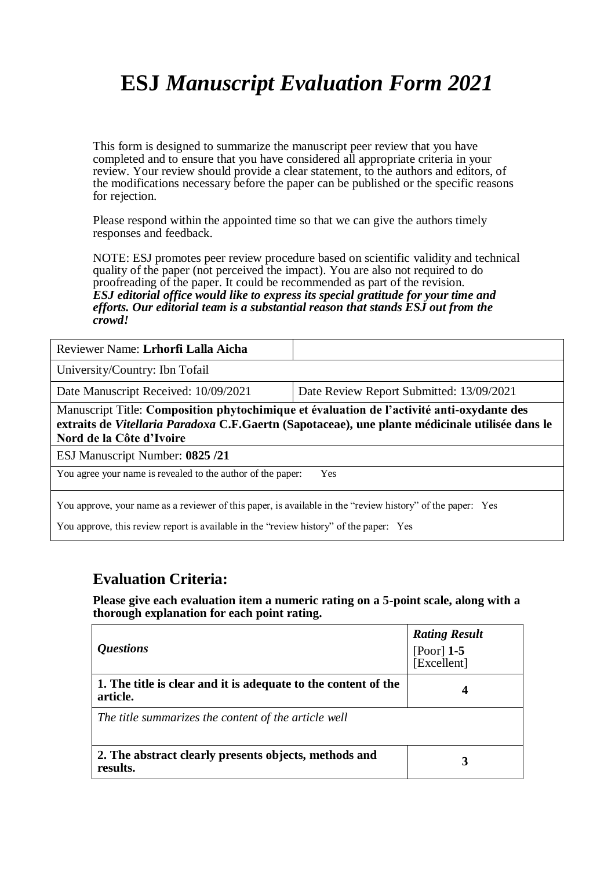This form is designed to summarize the manuscript peer review that you have completed and to ensure that you have considered all appropriate criteria in your review. Your review should provide a clear statement, to the authors and editors, of the modifications necessary before the paper can be published or the specific reasons for rejection.

Please respond within the appointed time so that we can give the authors timely responses and feedback.

NOTE: ESJ promotes peer review procedure based on scientific validity and technical quality of the paper (not perceived the impact). You are also not required to do proofreading of the paper. It could be recommended as part of the revision. *ESJ editorial office would like to express its special gratitude for your time and efforts. Our editorial team is a substantial reason that stands ESJ out from the crowd!* 

| Reviewer Name: Lrhorfi Lalla Aicha                                                                                                                                                                                       |                                          |  |
|--------------------------------------------------------------------------------------------------------------------------------------------------------------------------------------------------------------------------|------------------------------------------|--|
| University/Country: Ibn Tofail                                                                                                                                                                                           |                                          |  |
| Date Manuscript Received: 10/09/2021                                                                                                                                                                                     | Date Review Report Submitted: 13/09/2021 |  |
| Manuscript Title: Composition phytochimique et évaluation de l'activité anti-oxydante des<br>extraits de Vitellaria Paradoxa C.F.Gaertn (Sapotaceae), une plante médicinale utilisée dans le<br>Nord de la Côte d'Ivoire |                                          |  |
| ESJ Manuscript Number: 0825/21                                                                                                                                                                                           |                                          |  |
| You agree your name is revealed to the author of the paper:<br>Yes                                                                                                                                                       |                                          |  |
| You approve, your name as a reviewer of this paper, is available in the "review history" of the paper: Yes                                                                                                               |                                          |  |

You approve, this review report is available in the "review history" of the paper: Yes

#### **Evaluation Criteria:**

| <i><b>Ouestions</b></i>                                                    | <b>Rating Result</b><br>[Poor] $1-5$<br>[Excellent] |
|----------------------------------------------------------------------------|-----------------------------------------------------|
| 1. The title is clear and it is adequate to the content of the<br>article. | 4                                                   |
| The title summarizes the content of the article well                       |                                                     |
| 2. The abstract clearly presents objects, methods and<br>results.          | 3                                                   |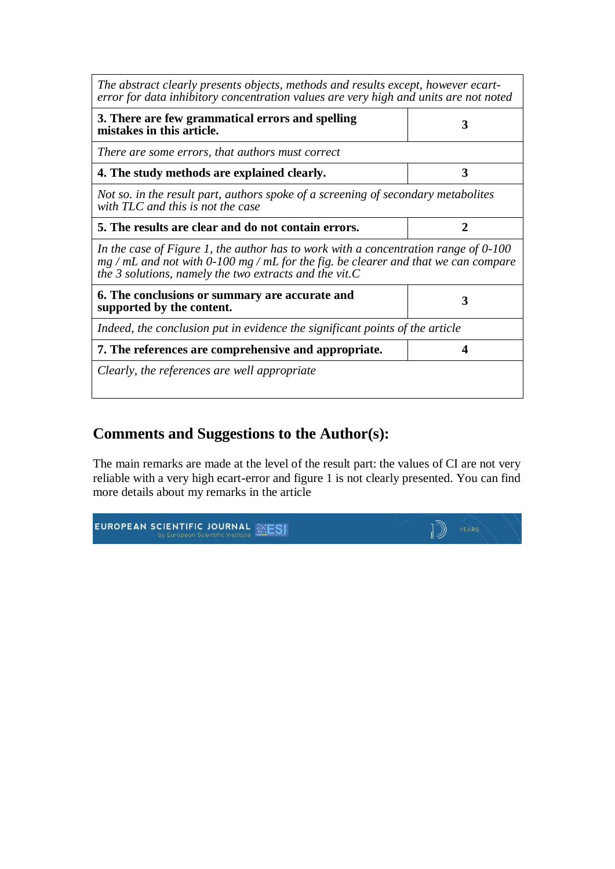| The abstract clearly presents objects, methods and results except, however ecart-<br>error for data inhibitory concentration values are very high and units are not noted                                                                  |   |  |
|--------------------------------------------------------------------------------------------------------------------------------------------------------------------------------------------------------------------------------------------|---|--|
| 3. There are few grammatical errors and spelling<br>mistakes in this article.                                                                                                                                                              | 3 |  |
| There are some errors, that authors must correct                                                                                                                                                                                           |   |  |
| 4. The study methods are explained clearly.                                                                                                                                                                                                | 3 |  |
| Not so, in the result part, authors spoke of a screening of secondary metabolites<br>with TLC and this is not the case                                                                                                                     |   |  |
| 5. The results are clear and do not contain errors.                                                                                                                                                                                        | 2 |  |
| In the case of Figure 1, the author has to work with a concentration range of $0-100$<br>$mg$ / mL and not with 0-100 mg / mL for the fig. be clearer and that we can compare<br>the 3 solutions, namely the two extracts and the vit. $C$ |   |  |
| 6. The conclusions or summary are accurate and<br>supported by the content.                                                                                                                                                                | 3 |  |
| Indeed, the conclusion put in evidence the significant points of the article                                                                                                                                                               |   |  |
| 7. The references are comprehensive and appropriate.                                                                                                                                                                                       | Δ |  |
| Clearly, the references are well appropriate                                                                                                                                                                                               |   |  |

### **Comments and Suggestions to the Author(s):**

The main remarks are made at the level of the result part: the values of CI are not very reliable with a very high ecart-error and figure 1 is not clearly presented. You can find more details about my remarks in the article

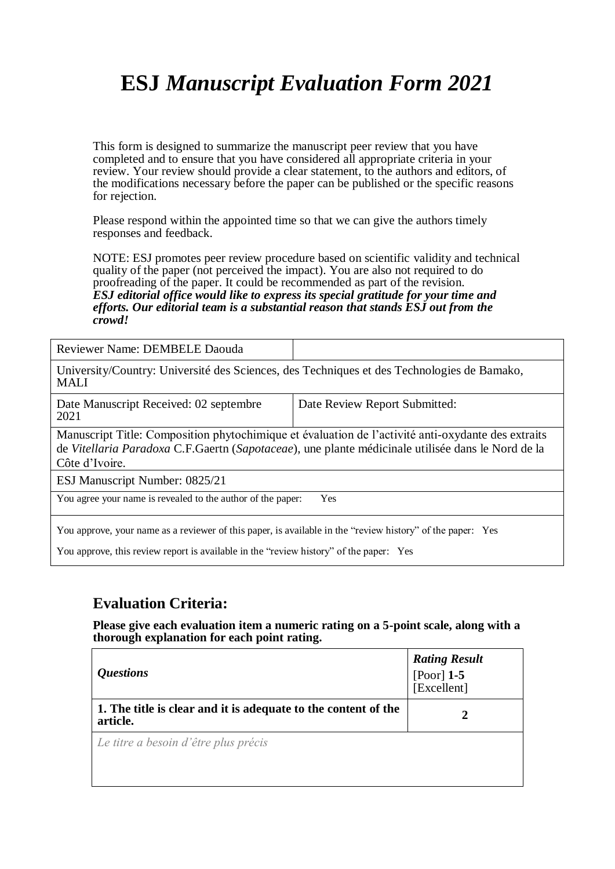This form is designed to summarize the manuscript peer review that you have completed and to ensure that you have considered all appropriate criteria in your review. Your review should provide a clear statement, to the authors and editors, of the modifications necessary before the paper can be published or the specific reasons for rejection.

Please respond within the appointed time so that we can give the authors timely responses and feedback.

NOTE: ESJ promotes peer review procedure based on scientific validity and technical quality of the paper (not perceived the impact). You are also not required to do proofreading of the paper. It could be recommended as part of the revision. *ESJ editorial office would like to express its special gratitude for your time and efforts. Our editorial team is a substantial reason that stands ESJ out from the crowd!* 

Reviewer Name: DEMBELE Daouda University/Country: Université des Sciences, des Techniques et des Technologies de Bamako, MALI

| Date Manuscript Received: 02 septembre<br>2021 | Date Review Report Submitted: |
|------------------------------------------------|-------------------------------|
|------------------------------------------------|-------------------------------|

Manuscript Title: Composition phytochimique et évaluation de l'activité anti-oxydante des extraits de *Vitellaria Paradoxa* C.F.Gaertn (*Sapotaceae*), une plante médicinale utilisée dans le Nord de la Côte d'Ivoire.

ESJ Manuscript Number: 0825/21

You agree your name is revealed to the author of the paper: Yes

You approve, your name as a reviewer of this paper, is available in the "review history" of the paper: Yes

You approve, this review report is available in the "review history" of the paper: Yes

#### **Evaluation Criteria:**

| <i><b>Questions</b></i>                                                    | <b>Rating Result</b><br>[Poor] $1-5$<br>[Excellent] |
|----------------------------------------------------------------------------|-----------------------------------------------------|
| 1. The title is clear and it is adequate to the content of the<br>article. | $\mathbf{z}$                                        |
| Le titre a besoin d'être plus précis                                       |                                                     |